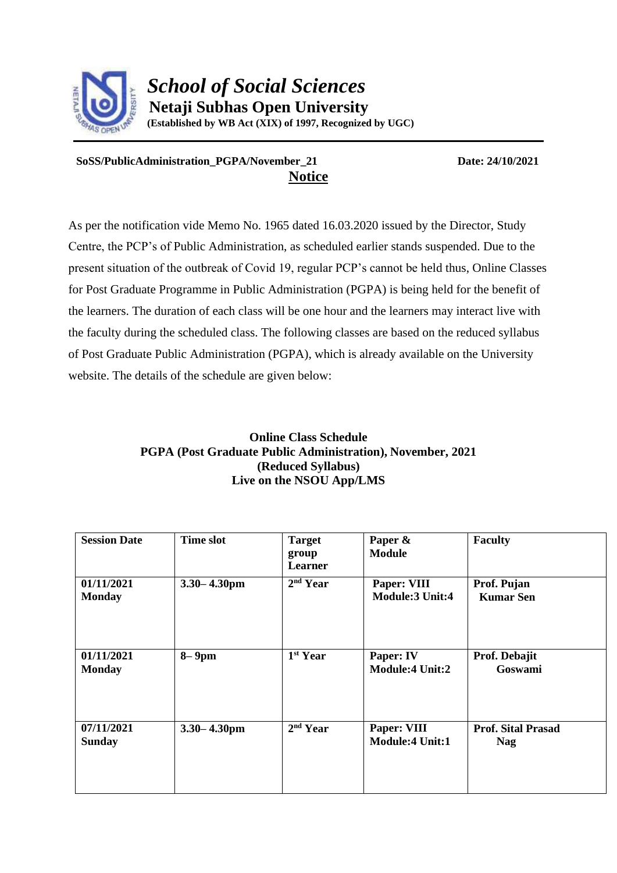

## **SoSS/PublicAdministration\_PGPA/November\_21 Date: 24/10/2021 Notice**

As per the notification vide Memo No. 1965 dated 16.03.2020 issued by the Director, Study Centre, the PCP's of Public Administration, as scheduled earlier stands suspended. Due to the present situation of the outbreak of Covid 19, regular PCP's cannot be held thus, Online Classes for Post Graduate Programme in Public Administration (PGPA) is being held for the benefit of the learners. The duration of each class will be one hour and the learners may interact live with the faculty during the scheduled class. The following classes are based on the reduced syllabus of Post Graduate Public Administration (PGPA), which is already available on the University website. The details of the schedule are given below:

## **Online Class Schedule PGPA (Post Graduate Public Administration), November, 2021 (Reduced Syllabus) Live on the NSOU App/LMS**

| <b>Session Date</b>         | <b>Time slot</b> | <b>Target</b><br>group<br>Learner | Paper &<br><b>Module</b>              | <b>Faculty</b>                          |
|-----------------------------|------------------|-----------------------------------|---------------------------------------|-----------------------------------------|
| 01/11/2021<br><b>Monday</b> | $3.30 - 4.30$ pm | 2 <sup>nd</sup> Year              | Paper: VIII<br><b>Module:3 Unit:4</b> | Prof. Pujan<br><b>Kumar Sen</b>         |
| 01/11/2021<br><b>Monday</b> | $8 - 9$ pm       | 1 <sup>st</sup> Year              | Paper: IV<br><b>Module:4 Unit:2</b>   | Prof. Debajit<br>Goswami                |
| 07/11/2021<br><b>Sunday</b> | $3.30 - 4.30$ pm | 2 <sup>nd</sup> Year              | Paper: VIII<br><b>Module:4 Unit:1</b> | <b>Prof. Sital Prasad</b><br><b>Nag</b> |